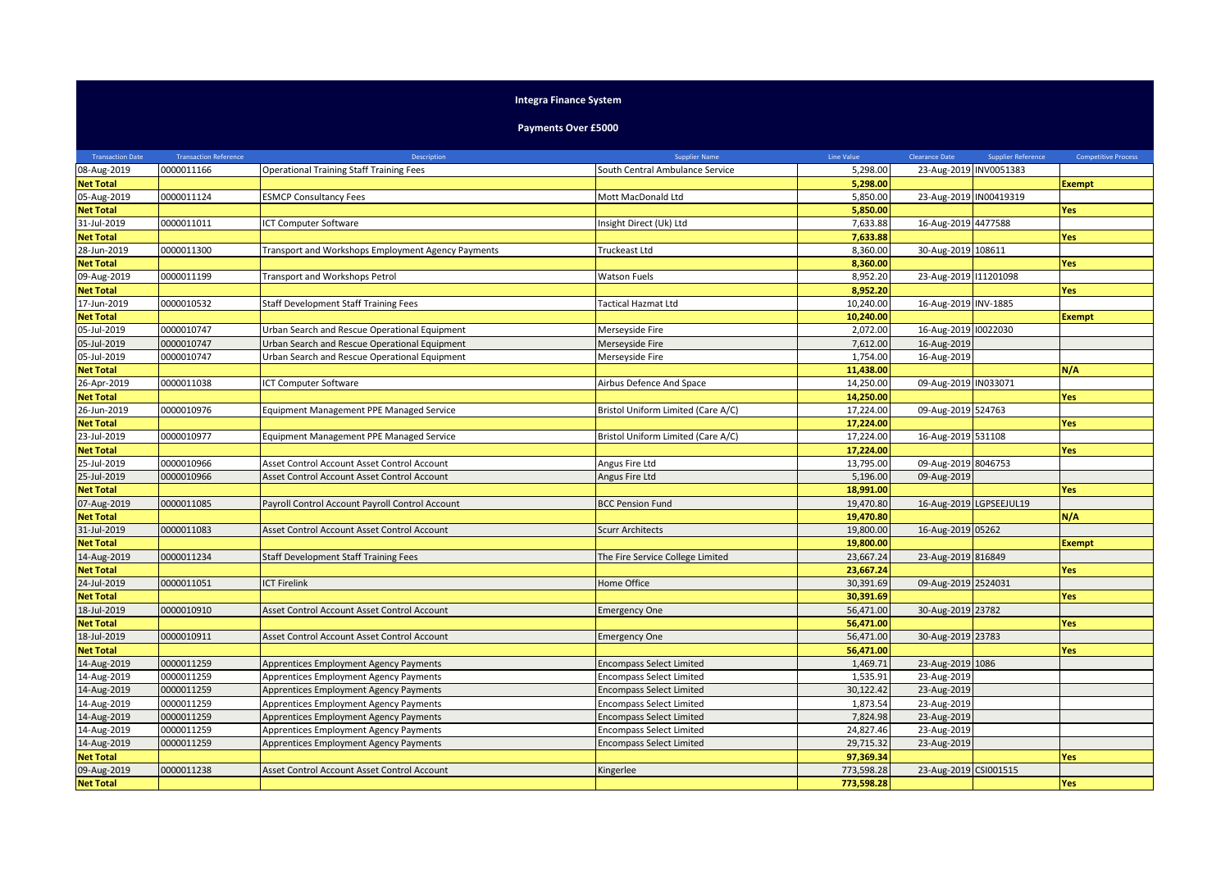## **Integra Finance System**

**Payments Over £5000**

| <b>Transaction Date</b> | <b>Transaction Reference</b> | Description                                        | <b>Supplier Name</b>               | Line Value | <b>Clearance Date</b>  | <b>Supplier Reference</b> | <b>Competitive Process</b> |
|-------------------------|------------------------------|----------------------------------------------------|------------------------------------|------------|------------------------|---------------------------|----------------------------|
| 08-Aug-2019             | 0000011166                   | <b>Operational Training Staff Training Fees</b>    | South Central Ambulance Service    | 5,298.00   | 23-Aug-2019 INV0051383 |                           |                            |
| <b>Net Total</b>        |                              |                                                    |                                    | 5,298.00   |                        |                           | <b>Exempt</b>              |
| 05-Aug-2019             | 0000011124                   | <b>ESMCP Consultancy Fees</b>                      | Mott MacDonald Ltd                 | 5,850.00   | 23-Aug-2019 IN00419319 |                           |                            |
| <b>Net Total</b>        |                              |                                                    |                                    | 5,850.00   |                        |                           | Yes                        |
| 31-Jul-2019             | 0000011011                   | ICT Computer Software                              | nsight Direct (Uk) Ltd             | 7,633.88   | 16-Aug-2019 4477588    |                           |                            |
| <b>Net Total</b>        |                              |                                                    |                                    | 7,633.88   |                        |                           | Yes                        |
| 28-Jun-2019             | 0000011300                   | Transport and Workshops Employment Agency Payments | Truckeast Ltd                      | 8,360.00   | 30-Aug-2019 108611     |                           |                            |
| <b>Net Total</b>        |                              |                                                    |                                    | 8,360.00   |                        |                           | Yes                        |
| 09-Aug-2019             | 0000011199                   | Transport and Workshops Petrol                     | <b>Watson Fuels</b>                | 8,952.20   | 23-Aug-2019 111201098  |                           |                            |
| <b>Net Total</b>        |                              |                                                    |                                    | 8,952.20   |                        |                           | Yes                        |
| 17-Jun-2019             | 0000010532                   | <b>Staff Development Staff Training Fees</b>       | <b>Factical Hazmat Ltd</b>         | 10,240.00  | 16-Aug-2019 INV-1885   |                           |                            |
| <b>Net Total</b>        |                              |                                                    |                                    | 10,240.00  |                        |                           | <b>Exempt</b>              |
| 05-Jul-2019             | 0000010747                   | Urban Search and Rescue Operational Equipment      | Merseyside Fire                    | 2,072.00   | 16-Aug-2019 10022030   |                           |                            |
| 05-Jul-2019             | 0000010747                   | Urban Search and Rescue Operational Equipment      | Merseyside Fire                    | 7,612.00   | 16-Aug-2019            |                           |                            |
| 05-Jul-2019             | 0000010747                   | Urban Search and Rescue Operational Equipment      | Merseyside Fire                    | 1,754.00   | 16-Aug-2019            |                           |                            |
| <b>Net Total</b>        |                              |                                                    |                                    | 11,438.00  |                        |                           | N/A                        |
| 26-Apr-2019             | 0000011038                   | ICT Computer Software                              | Airbus Defence And Space           | 14,250.00  | 09-Aug-2019 IN033071   |                           |                            |
| <b>Net Total</b>        |                              |                                                    |                                    | 14,250.00  |                        |                           | Yes                        |
| 26-Jun-2019             | 0000010976                   | <b>Equipment Management PPE Managed Service</b>    | Bristol Uniform Limited (Care A/C) | 17,224.00  | 09-Aug-2019 524763     |                           |                            |
| <b>Net Total</b>        |                              |                                                    |                                    | 17,224.00  |                        |                           | Yes                        |
| 23-Jul-2019             | 0000010977                   | Equipment Management PPE Managed Service           | Bristol Uniform Limited (Care A/C) | 17,224.00  | 16-Aug-2019 531108     |                           |                            |
| <b>Net Total</b>        |                              |                                                    |                                    | 17,224.00  |                        |                           | <b>Yes</b>                 |
| 25-Jul-2019             | 0000010966                   | Asset Control Account Asset Control Account        | Angus Fire Ltd                     | 13,795.00  | 09-Aug-2019 8046753    |                           |                            |
| 25-Jul-2019             | 0000010966                   | Asset Control Account Asset Control Account        | Angus Fire Ltd                     | 5,196.00   | 09-Aug-2019            |                           |                            |
| <b>Net Total</b>        |                              |                                                    |                                    | 18,991.00  |                        |                           | Yes                        |
| 07-Aug-2019             | 0000011085                   | Payroll Control Account Payroll Control Account    | <b>BCC Pension Fund</b>            | 19,470.80  |                        | 16-Aug-2019 LGPSEEJUL19   |                            |
| <b>Net Total</b>        |                              |                                                    |                                    | 19,470.80  |                        |                           | N/A                        |
| 31-Jul-2019             | 0000011083                   | Asset Control Account Asset Control Account        | <b>Scurr Architects</b>            | 19,800.00  | 16-Aug-2019 05262      |                           |                            |
| <b>Net Total</b>        |                              |                                                    |                                    | 19,800.00  |                        |                           | <b>Exempt</b>              |
| 14-Aug-2019             | 0000011234                   | <b>Staff Development Staff Training Fees</b>       | The Fire Service College Limited   | 23,667.24  | 23-Aug-2019 816849     |                           |                            |
| <b>Net Total</b>        |                              |                                                    |                                    | 23,667.24  |                        |                           | Yes                        |
| 24-Jul-2019             | 0000011051                   | <b>ICT Firelink</b>                                | Home Office                        | 30,391.69  | 09-Aug-2019 2524031    |                           |                            |
| <b>Net Total</b>        |                              |                                                    |                                    | 30,391.69  |                        |                           | Yes                        |
| 18-Jul-2019             | 0000010910                   | Asset Control Account Asset Control Account        | <b>Emergency One</b>               | 56,471.00  | 30-Aug-2019 23782      |                           |                            |
| <b>Net Total</b>        |                              |                                                    |                                    | 56,471.00  |                        |                           | Yes                        |
| 18-Jul-2019             | 0000010911                   | Asset Control Account Asset Control Account        | <b>Emergency One</b>               | 56,471.00  | 30-Aug-2019 23783      |                           |                            |
| <b>Net Total</b>        |                              |                                                    |                                    | 56,471.00  |                        |                           | Yes                        |
| 14-Aug-2019             | 0000011259                   | Apprentices Employment Agency Payments             | <b>Encompass Select Limited</b>    | 1,469.71   | 23-Aug-2019 1086       |                           |                            |
| 14-Aug-2019             | 0000011259                   | Apprentices Employment Agency Payments             | <b>Encompass Select Limited</b>    | 1,535.91   | 23-Aug-2019            |                           |                            |
| 14-Aug-2019             | 0000011259                   | Apprentices Employment Agency Payments             | <b>Encompass Select Limited</b>    | 30,122.42  | 23-Aug-2019            |                           |                            |
| 14-Aug-2019             | 0000011259                   | Apprentices Employment Agency Payments             | <b>Encompass Select Limited</b>    | 1,873.54   | 23-Aug-2019            |                           |                            |
| 14-Aug-2019             | 0000011259                   | Apprentices Employment Agency Payments             | <b>Encompass Select Limited</b>    | 7,824.98   | 23-Aug-2019            |                           |                            |
| 14-Aug-2019             | 0000011259                   | Apprentices Employment Agency Payments             | <b>Encompass Select Limited</b>    | 24,827.46  | 23-Aug-2019            |                           |                            |
| 14-Aug-2019             | 0000011259                   | Apprentices Employment Agency Payments             | <b>Encompass Select Limited</b>    | 29,715.32  | 23-Aug-2019            |                           |                            |
| <b>Net Total</b>        |                              |                                                    |                                    | 97,369.34  |                        |                           | Yes                        |
| 09-Aug-2019             | 0000011238                   | Asset Control Account Asset Control Account        | Kingerlee                          | 773,598.28 | 23-Aug-2019 CSI001515  |                           |                            |
| <b>Net Total</b>        |                              |                                                    |                                    | 773,598.28 |                        |                           | Yes                        |